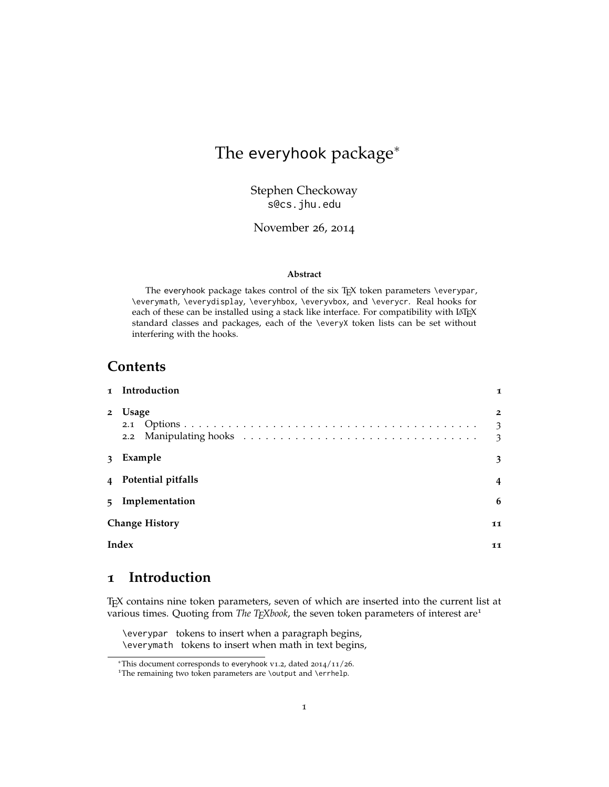# The everyhook package<sup>∗</sup>

Stephen Checkoway s@cs.jhu.edu

November 26, 2014

#### **Abstract**

The everyhook package takes control of the six TEX token parameters \everypar, \everymath, \everydisplay, \everyhbox, \everyvbox, and \everycr. Real hooks for each of these can be installed using a stack like interface. For compatibility with LATEX standard classes and packages, each of the \everyX token lists can be set without interfering with the hooks.

### **Contents**

|                | 1 Introduction              | $\mathbf I$                          |  |  |  |
|----------------|-----------------------------|--------------------------------------|--|--|--|
| $\overline{2}$ | Usage                       | $\overline{2}$<br>3<br>$\mathcal{E}$ |  |  |  |
| $\mathbf{3}$   | Example                     | 3                                    |  |  |  |
|                | 4 Potential pitfalls        | 4                                    |  |  |  |
|                | 5 Implementation            | 6                                    |  |  |  |
|                | <b>Change History</b><br>11 |                                      |  |  |  |
|                | Index                       | 11                                   |  |  |  |

## <span id="page-0-0"></span>**1 Introduction**

TEX contains nine token parameters, seven of which are inserted into the current list at various times. Quoting from *The TEXbook*, the seven token parameters of interest are<sup>[1](#page-0-1)</sup>

\everypar tokens to insert when a paragraph begins, \everymath tokens to insert when math in text begins,

<sup>∗</sup>This document corresponds to everyhook v1.2, dated 2014/11/26.

<span id="page-0-1"></span><sup>&</sup>lt;sup>1</sup>The remaining two token parameters are \output and \errhelp.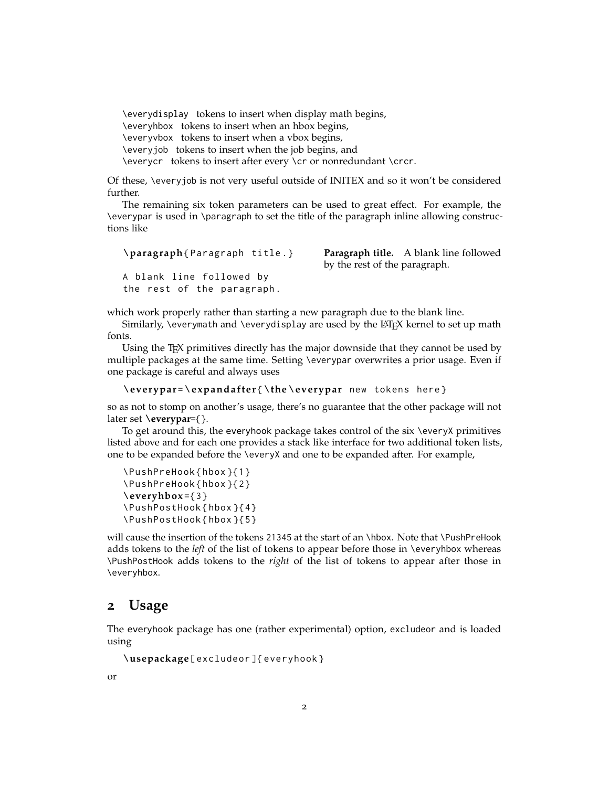\everydisplay tokens to insert when display math begins, \everyhbox tokens to insert when an hbox begins, \everyvbox tokens to insert when a vbox begins, \everyjob tokens to insert when the job begins, and \everycr tokens to insert after every \cr or nonredundant \crcr.

Of these, \everyjob is not very useful outside of INITEX and so it won't be considered further.

The remaining six token parameters can be used to great effect. For example, the \everypar is used in \paragraph to set the title of the paragraph inline allowing constructions like

```
\paragraph{ Paragraph title .}
A blank line followed by
the rest of the paragraph .
```
**Paragraph title.** A blank line followed by the rest of the paragraph.

which work properly rather than starting a new paragraph due to the blank line.

Similarly, \everymath and \everydisplay are used by the  $\mathbb{E}T$ <sub>F</sub>X kernel to set up math fonts.

Using the T<sub>E</sub>X primitives directly has the major downside that they cannot be used by multiple packages at the same time. Setting \everypar overwrites a prior usage. Even if one package is careful and always uses

```
\everypar=\expandafter{\the\everypar new tokens here}
```
so as not to stomp on another's usage, there's no guarantee that the other package will not later set **\everypar**={}.

To get around this, the everyhook package takes control of the six \everyX primitives listed above and for each one provides a stack like interface for two additional token lists, one to be expanded before the \everyX and one to be expanded after. For example,

```
\PushPreHook { hbox }{1}
\PushPreHook { hbox }{2}
\everyhbox ={3}
\PushPostHook { hbox }{4}
\PushPostHook { hbox }{5}
```
will cause the insertion of the tokens 21345 at the start of an \hbox. Note that \PushPreHook adds tokens to the *left* of the list of tokens to appear before those in \everyhbox whereas \PushPostHook adds tokens to the *right* of the list of tokens to appear after those in \everyhbox.

### <span id="page-1-0"></span>**2 Usage**

The everyhook package has one (rather experimental) option, excludeor and is loaded using

```
\usepackage [ excludeor ]{ everyhook }
```
or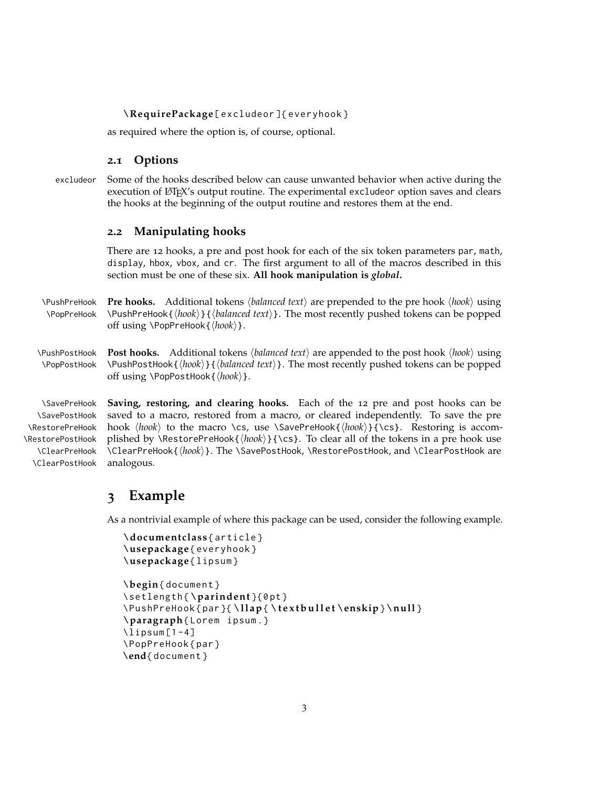#### **\RequirePackage** [ excludeor ]{ everyhook }

as required where the option is, of course, optional.

#### <span id="page-2-0"></span>**2.1 Options**

excludeor Some of the hooks described below can cause unwanted behavior when active during the execution of LATEX's output routine. The experimental excludeor option saves and clears the hooks at the beginning of the output routine and restores them at the end.

#### <span id="page-2-1"></span>**2.2 Manipulating hooks**

There are 12 hooks, a pre and post hook for each of the six token parameters par, math, display, hbox, vbox, and cr. The first argument to all of the macros described in this section must be one of these six. **All hook manipulation is** *global***.**

 $\Phi$   $\Phi$  **Pre hooks.** Additional tokens *(balanced text)* are prepended to the pre hook *(hook)* using \PopPreHook \PushPreHook{h*hook*i}{h*balanced text*i}. The most recently pushed tokens can be popped off using \PopPreHook{ $\langle \text{hook} \rangle$  }.

 $\Phi$  >Post **Post hooks.** Additional tokens *\balanced text*} are appended to the post hook  $\langle \text{hook} \rangle$  using \PopPostHook \PushPostHook{h*hook*i}{h*balanced text*i}. The most recently pushed tokens can be popped off using \PopPostHook{ $\langle \textit{hook} \rangle$  }.

\SavePostHook \RestorePostHook \ClearPreHook \ClearPostHook analogous.

\SavePreHook **Saving, restoring, and clearing hooks.** Each of the 12 pre and post hooks can be \RestorePreHook hook  $\langle \text{hook} \rangle$  to the macro \cs, use \SavePreHook{ $\langle \text{hook} \rangle$ }{\cs}. Restoring is accomsaved to a macro, restored from a macro, or cleared independently. To save the pre plished by  $\Re$  estorePreHook{ $\{hook\}$ }{\cs}. To clear all of the tokens in a pre hook use \ClearPreHook{\*hook*}}. The \SavePostHook, \RestorePostHook, and \ClearPostHook are

### <span id="page-2-2"></span>**3 Example**

As a nontrivial example of where this package can be used, consider the following example.

```
\documen tc lass { article }
\usepackage { everyhook }
\usepackage { lipsum }
\begin{ document }
\setlength {\pa r inden t }{0 pt }
\PushPreHook { par }{ \ l l ap { \ t e x t b u l l e t \enskip}\nu l l }
\paragraph{ Lorem ipsum .}
\lceillipsum [1-4]
\PopPreHook { par }
\end{ document }
```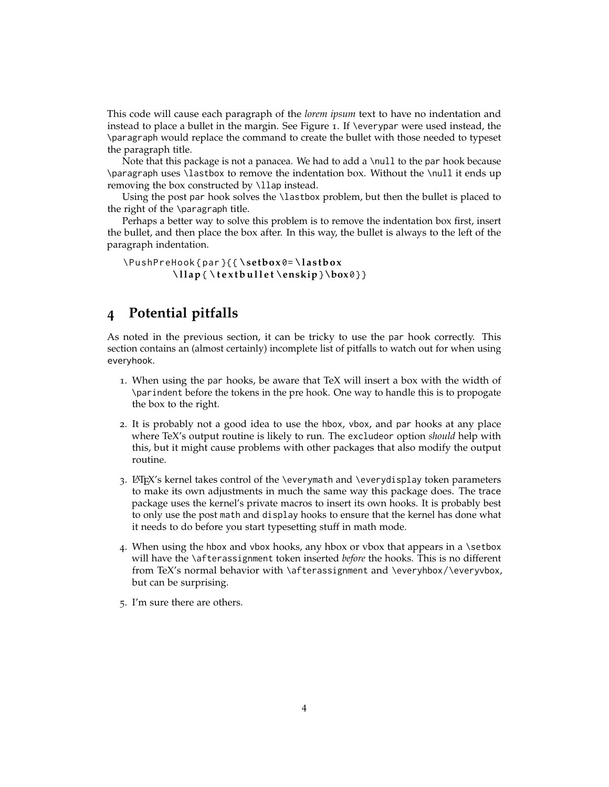This code will cause each paragraph of the *lorem ipsum* text to have no indentation and instead to place a bullet in the margin. See Figure [1](#page-4-0). If \everypar were used instead, the \paragraph would replace the command to create the bullet with those needed to typeset the paragraph title.

Note that this package is not a panacea. We had to add a \null to the par hook because \paragraph uses \lastbox to remove the indentation box. Without the \null it ends up removing the box constructed by \llap instead.

Using the post par hook solves the \lastbox problem, but then the bullet is placed to the right of the \paragraph title.

Perhaps a better way to solve this problem is to remove the indentation box first, insert the bullet, and then place the box after. In this way, the bullet is always to the left of the paragraph indentation.

```
\PushPreHook { par }{{ \se tbox 0= \ l a s tb o x
           \ l l ap { \ t e x t b u l l e t \enskip}\box0}}
```
## <span id="page-3-0"></span>**4 Potential pitfalls**

As noted in the previous section, it can be tricky to use the par hook correctly. This section contains an (almost certainly) incomplete list of pitfalls to watch out for when using everyhook.

- 1. When using the par hooks, be aware that TeX will insert a box with the width of \parindent before the tokens in the pre hook. One way to handle this is to propogate the box to the right.
- 2. It is probably not a good idea to use the hbox, vbox, and par hooks at any place where TeX's output routine is likely to run. The excludeor option *should* help with this, but it might cause problems with other packages that also modify the output routine.
- 3. LAT<sub>E</sub>X's kernel takes control of the \everymath and \everydisplay token parameters to make its own adjustments in much the same way this package does. The trace package uses the kernel's private macros to insert its own hooks. It is probably best to only use the post math and display hooks to ensure that the kernel has done what it needs to do before you start typesetting stuff in math mode.
- 4. When using the hbox and vbox hooks, any hbox or vbox that appears in a \setbox will have the \afterassignment token inserted *before* the hooks. This is no different from TeX's normal behavior with \afterassignment and \everyhbox/\everyvbox, but can be surprising.
- 5. I'm sure there are others.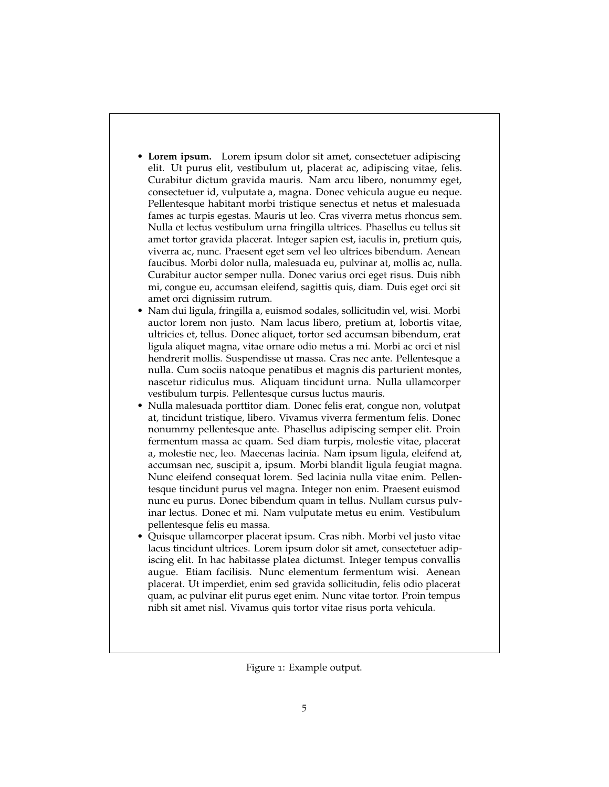- **Lorem ipsum.** Lorem ipsum dolor sit amet, consectetuer adipiscing elit. Ut purus elit, vestibulum ut, placerat ac, adipiscing vitae, felis. Curabitur dictum gravida mauris. Nam arcu libero, nonummy eget, consectetuer id, vulputate a, magna. Donec vehicula augue eu neque. Pellentesque habitant morbi tristique senectus et netus et malesuada fames ac turpis egestas. Mauris ut leo. Cras viverra metus rhoncus sem. Nulla et lectus vestibulum urna fringilla ultrices. Phasellus eu tellus sit amet tortor gravida placerat. Integer sapien est, iaculis in, pretium quis, viverra ac, nunc. Praesent eget sem vel leo ultrices bibendum. Aenean faucibus. Morbi dolor nulla, malesuada eu, pulvinar at, mollis ac, nulla. Curabitur auctor semper nulla. Donec varius orci eget risus. Duis nibh mi, congue eu, accumsan eleifend, sagittis quis, diam. Duis eget orci sit amet orci dignissim rutrum.
- Nam dui ligula, fringilla a, euismod sodales, sollicitudin vel, wisi. Morbi auctor lorem non justo. Nam lacus libero, pretium at, lobortis vitae, ultricies et, tellus. Donec aliquet, tortor sed accumsan bibendum, erat ligula aliquet magna, vitae ornare odio metus a mi. Morbi ac orci et nisl hendrerit mollis. Suspendisse ut massa. Cras nec ante. Pellentesque a nulla. Cum sociis natoque penatibus et magnis dis parturient montes, nascetur ridiculus mus. Aliquam tincidunt urna. Nulla ullamcorper vestibulum turpis. Pellentesque cursus luctus mauris.
- Nulla malesuada porttitor diam. Donec felis erat, congue non, volutpat at, tincidunt tristique, libero. Vivamus viverra fermentum felis. Donec nonummy pellentesque ante. Phasellus adipiscing semper elit. Proin fermentum massa ac quam. Sed diam turpis, molestie vitae, placerat a, molestie nec, leo. Maecenas lacinia. Nam ipsum ligula, eleifend at, accumsan nec, suscipit a, ipsum. Morbi blandit ligula feugiat magna. Nunc eleifend consequat lorem. Sed lacinia nulla vitae enim. Pellentesque tincidunt purus vel magna. Integer non enim. Praesent euismod nunc eu purus. Donec bibendum quam in tellus. Nullam cursus pulvinar lectus. Donec et mi. Nam vulputate metus eu enim. Vestibulum pellentesque felis eu massa.
- Quisque ullamcorper placerat ipsum. Cras nibh. Morbi vel justo vitae lacus tincidunt ultrices. Lorem ipsum dolor sit amet, consectetuer adipiscing elit. In hac habitasse platea dictumst. Integer tempus convallis augue. Etiam facilisis. Nunc elementum fermentum wisi. Aenean placerat. Ut imperdiet, enim sed gravida sollicitudin, felis odio placerat quam, ac pulvinar elit purus eget enim. Nunc vitae tortor. Proin tempus nibh sit amet nisl. Vivamus quis tortor vitae risus porta vehicula.

<span id="page-4-0"></span>Figure 1: Example output.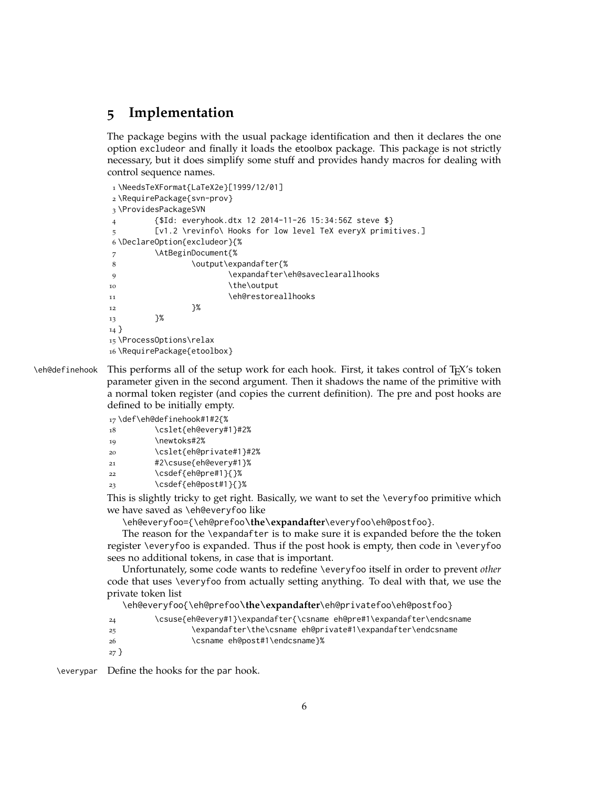## <span id="page-5-0"></span>**5 Implementation**

The package begins with the usual package identification and then it declares the one option excludeor and finally it loads the etoolbox package. This package is not strictly necessary, but it does simplify some stuff and provides handy macros for dealing with control sequence names.

```
1 \NeedsTeXFormat{LaTeX2e}[1999/12/01]
2 \RequirePackage{svn-prov}
3 \ProvidesPackageSVN
4 {$Id: everyhook.dtx 12 2014-11-26 15:34:56Z steve $}
        [v1.2 \revinfo\ Hooks for low level TeX everyX primitives.]
6 \DeclareOption{excludeor}{%
7 \AtBeginDocument{%
8 \output\expandafter{%
9 \expandafter\eh@saveclearallhooks
10 \the\output
11 \eh@restoreallhooks
12 }%
13 }%
14 }
15 \ProcessOptions\relax
16 \RequirePackage{etoolbox}
```
\eh@definehook This performs all of the setup work for each hook. First, it takes control of TEX's token parameter given in the second argument. Then it shadows the name of the primitive with a normal token register (and copies the current definition). The pre and post hooks are defined to be initially empty.

17 \def\eh@definehook#1#2{%

- 18 \cslet{eh@every#1}#2%
- 19 \newtoks#2%
- 20 \cslet{eh@private#1}#2%
- 21 #2\csuse{eh@every#1}%
- 22 \csdef{eh@pre#1}{}%
- 23 \csdef{eh@post#1}{}%

This is slightly tricky to get right. Basically, we want to set the \everyfoo primitive which we have saved as \eh@everyfoo like

\eh@everyfoo={\eh@prefoo**\the\expandafter**\everyfoo\eh@postfoo}.

The reason for the \expandafter is to make sure it is expanded before the the token register \everyfoo is expanded. Thus if the post hook is empty, then code in \everyfoo sees no additional tokens, in case that is important.

Unfortunately, some code wants to redefine \everyfoo itself in order to prevent *other* code that uses \everyfoo from actually setting anything. To deal with that, we use the private token list

\eh@everyfoo{\eh@prefoo**\the\expandafter**\eh@privatefoo\eh@postfoo}

- 24 \csuse{eh@every#1}\expandafter{\csname eh@pre#1\expandafter\endcsname
- 25 \expandafter\the\csname eh@private#1\expandafter\endcsname
- 26 \csname eh@post#1\endcsname}%
- 27 }

\everypar Define the hooks for the par hook.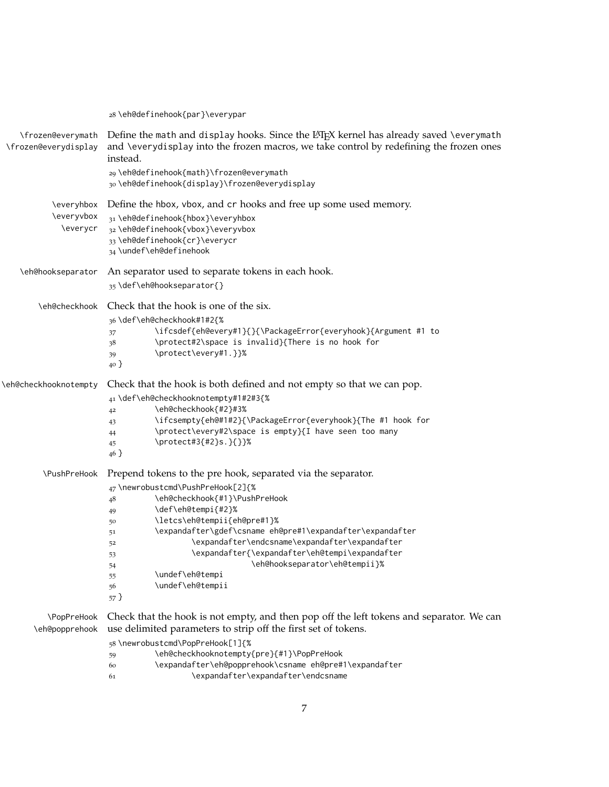\eh@definehook{par}\everypar \frozen@everymath \frozen@everydisplay Define the math and display hooks. Since the  $LAT$ <sub>EX</sub> kernel has already saved \everymath and \everydisplay into the frozen macros, we take control by redefining the frozen ones instead. \eh@definehook{math}\frozen@everymath \eh@definehook{display}\frozen@everydisplay \everyhbox Define the hbox, vbox, and cr hooks and free up some used memory. \everyvbox \everycr \eh@definehook{hbox}\everyhbox \eh@definehook{vbox}\everyvbox \eh@definehook{cr}\everycr \undef\eh@definehook \eh@hookseparator An separator used to separate tokens in each hook. \def\eh@hookseparator{} \eh@checkhook Check that the hook is one of the six. \def\eh@checkhook#1#2{% \ifcsdef{eh@every#1}{}{\PackageError{everyhook}{Argument #1 to \protect#2\space is invalid}{There is no hook for \protect\every#1.}}% } \eh@checkhooknotempty Check that the hook is both defined and not empty so that we can pop. \def\eh@checkhooknotempty#1#2#3{% \eh@checkhook{#2}#3% \ifcsempty{eh@#1#2}{\PackageError{everyhook}{The #1 hook for \protect\every#2\space is empty}{I have seen too many \protect#3{#2}s.}{}}% } \PushPreHook Prepend tokens to the pre hook, separated via the separator. \newrobustcmd\PushPreHook[2]{% \eh@checkhook{#1}\PushPreHook \def\eh@tempi{#2}% \letcs\eh@tempii{eh@pre#1}% \expandafter\gdef\csname eh@pre#1\expandafter\expandafter \expandafter\endcsname\expandafter\expandafter \expandafter{\expandafter\eh@tempi\expandafter \eh@hookseparator\eh@tempii}% \undef\eh@tempi \undef\eh@tempii } \PopPreHook \eh@popprehook Check that the hook is not empty, and then pop off the left tokens and separator. We can use delimited parameters to strip off the first set of tokens. \newrobustcmd\PopPreHook[1]{% \eh@checkhooknotempty{pre}{#1}\PopPreHook \expandafter\eh@popprehook\csname eh@pre#1\expandafter \expandafter\expandafter\endcsname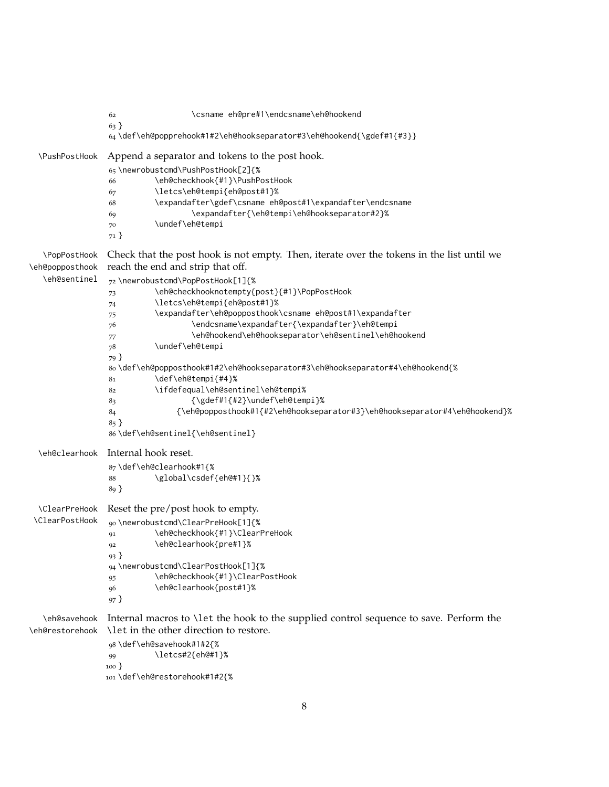```
62 \csname eh@pre#1\endcsname\eh@hookend
               63 }
               64 \def\eh@popprehook#1#2\eh@hookseparator#3\eh@hookend{\gdef#1{#3}}
  \PushPostHook Append a separator and tokens to the post hook.
               65 \newrobustcmd\PushPostHook[2]{%
               66 \eh@checkhook{#1}\PushPostHook
               67 \letcs\eh@tempi{eh@post#1}%
               68 \expandafter\gdef\csname eh@post#1\expandafter\endcsname
               69 \expandafter{\eh@tempi\eh@hookseparator#2}%
               70 \undef\eh@tempi
               71 }
  \PopPostHook
\eh@popposthook
  \eh@sentinel
               Check that the post hook is not empty. Then, iterate over the tokens in the list until we
               reach the end and strip that off.
               72 \newrobustcmd\PopPostHook[1]{%
               73 \eh@checkhooknotempty{post}{#1}\PopPostHook
               74 \letcs\eh@tempi{eh@post#1}%
               75 \expandafter\eh@popposthook\csname eh@post#1\expandafter
               76 \endcsname\expandafter{\expandafter}\eh@tempi
               77 \eh@hookend\eh@hookseparator\eh@sentinel\eh@hookend
               78 \undef\eh@tempi
               79 }
               80 \def\eh@popposthook#1#2\eh@hookseparator#3\eh@hookseparator#4\eh@hookend{%
               81 \def\eh@tempi{#4}%
               82 \ifdefequal\eh@sentinel\eh@tempi%
               83 {\gdef#1{#2}\undef\eh@tempi}%
               84 {\eh@popposthook#1{#2\eh@hookseparator#3}\eh@hookseparator#4\eh@hookend}%
               85 }
               86 \def\eh@sentinel{\eh@sentinel}
  \eh@clearhook Internal hook reset.
               87 \def\eh@clearhook#1{%
               88 \global\csdef{eh@#1}{}%
               89 }
  \ClearPreHook
Reset the pre/post hook to empty.
 \ClearPostHook
               90 \newrobustcmd\ClearPreHook[1]{%
               91 \eh@checkhook{#1}\ClearPreHook
               92 \eh@clearhook{pre#1}%
               93 }
               94 \newrobustcmd\ClearPostHook[1]{%
               95 \eh@checkhook{#1}\ClearPostHook
               96 \eh@clearhook{post#1}%
               97 }
   \eh@savehook
Internal macros to \let the hook to the supplied control sequence to save. Perform the
\eh@restorehook
\let in the other direction to restore.
               98 \def\eh@savehook#1#2{%
               99 \letcs#2{eh@#1}%
               100 }
               101 \def\eh@restorehook#1#2{%
```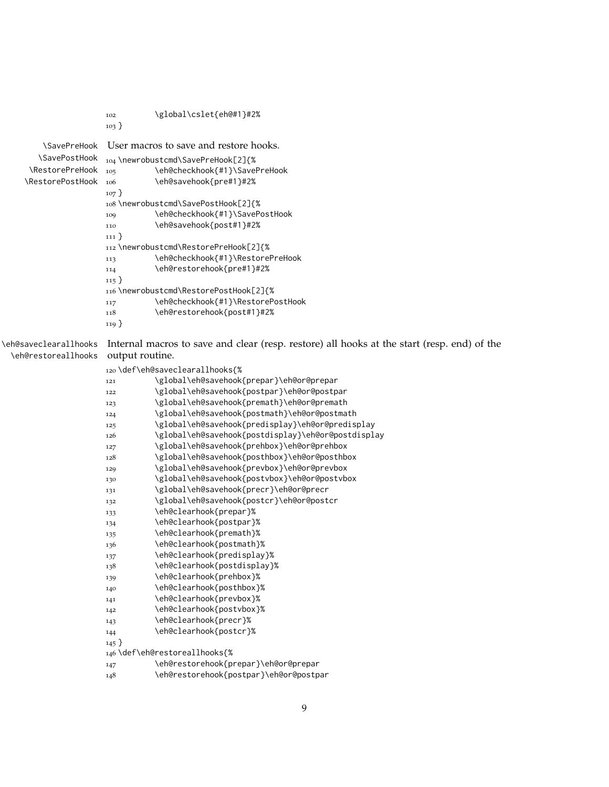|                       | 102                                    | \global\cslet{eh@#1}#2%                                                                     |  |  |
|-----------------------|----------------------------------------|---------------------------------------------------------------------------------------------|--|--|
|                       | $103 \}$                               |                                                                                             |  |  |
| <b>\SavePreHook</b>   | User macros to save and restore hooks. |                                                                                             |  |  |
| \SavePostHook         | 104 \newrobustcmd\SavePreHook[2]{%     |                                                                                             |  |  |
| \RestorePreHook       | 105                                    | \eh@checkhook{#1}\SavePreHook                                                               |  |  |
| \RestorePostHook      | 106                                    | \eh@savehook{pre#1}#2%                                                                      |  |  |
|                       | $107 \}$                               |                                                                                             |  |  |
|                       |                                        | 108\newrobustcmd\SavePostHook[2]{%                                                          |  |  |
|                       | 109                                    | \eh@checkhook{#1}\SavePostHook                                                              |  |  |
|                       | 110                                    | \eh@savehook{post#1}#2%                                                                     |  |  |
|                       | $111 \}$                               |                                                                                             |  |  |
|                       |                                        | 112 \newrobustcmd\RestorePreHook[2]{%                                                       |  |  |
|                       | 113                                    | \eh@checkhook{#1}\RestorePreHook                                                            |  |  |
|                       | 114                                    | \eh@restorehook{pre#1}#2%                                                                   |  |  |
|                       | $115 \}$                               |                                                                                             |  |  |
|                       |                                        | 116 \newrobustcmd\RestorePostHook[2]{%                                                      |  |  |
|                       | 117                                    | \eh@checkhook{#1}\RestorePostHook                                                           |  |  |
|                       | 118                                    | \eh@restorehook{post#1}#2%                                                                  |  |  |
|                       | $119 \}$                               |                                                                                             |  |  |
| \eh@saveclearallhooks |                                        | Internal macros to save and clear (resp. restore) all hooks at the start (resp. end) of the |  |  |
| \eh@restoreallhooks   | output routine.                        |                                                                                             |  |  |
|                       | 120\def\eh@saveclearallhooks{%         |                                                                                             |  |  |
|                       |                                        | \global\eh@savehook{prepar}\eh@or@prepar                                                    |  |  |
|                       | 121                                    | \global\eh@savehook{postpar}\eh@or@postpar                                                  |  |  |
|                       | 122                                    | \global\eh@savehook{premath}\eh@or@premath                                                  |  |  |
|                       | 123<br>124                             | \global\eh@savehook{postmath}\eh@or@postmath                                                |  |  |
|                       | 125                                    | \global\eh@savehook{predisplay}\eh@or@predisplay                                            |  |  |
|                       | 126                                    | \global\eh@savehook{postdisplay}\eh@or@postdisplay                                          |  |  |
|                       | 127                                    | \global\eh@savehook{prehbox}\eh@or@prehbox                                                  |  |  |
|                       | 128                                    | \global\eh@savehook{posthbox}\eh@or@posthbox                                                |  |  |
|                       | 129                                    | \global\eh@savehook{prevbox}\eh@or@prevbox                                                  |  |  |
|                       | 130                                    | \global\eh@savehook{postvbox}\eh@or@postvbox                                                |  |  |
|                       | 131                                    | \global\eh@savehook{precr}\eh@or@precr                                                      |  |  |
|                       | 132                                    | \global\eh@savehook{postcr}\eh@or@postcr                                                    |  |  |
|                       | 133                                    | \eh@clearhook{prepar}%                                                                      |  |  |
|                       | 134                                    | \eh@clearhook{postpar}%                                                                     |  |  |
|                       | 135                                    | \eh@clearhook{premath}%                                                                     |  |  |
|                       | 136                                    | \eh@clearhook{postmath}%                                                                    |  |  |
|                       | 137                                    | \eh@clearhook{predisplay}%                                                                  |  |  |
|                       | 138                                    | \eh@clearhook{postdisplay}%                                                                 |  |  |
|                       | 139                                    | \eh@clearhook{prehbox}%                                                                     |  |  |
|                       | 140                                    | \eh@clearhook{posthbox}%                                                                    |  |  |
|                       | 141                                    | \eh@clearhook{prevbox}%                                                                     |  |  |
|                       | 142                                    | \eh@clearhook{postvbox}%                                                                    |  |  |
|                       | 143                                    | \eh@clearhook{precr}%                                                                       |  |  |
|                       | 144                                    | \eh@clearhook{postcr}%                                                                      |  |  |
|                       | $145$ }                                |                                                                                             |  |  |
|                       |                                        | 146\def\eh@restoreallhooks{%                                                                |  |  |
|                       | 147                                    | \eh@restorehook{prepar}\eh@or@prepar                                                        |  |  |
|                       | 148                                    | \eh@restorehook{postpar}\eh@or@postpar                                                      |  |  |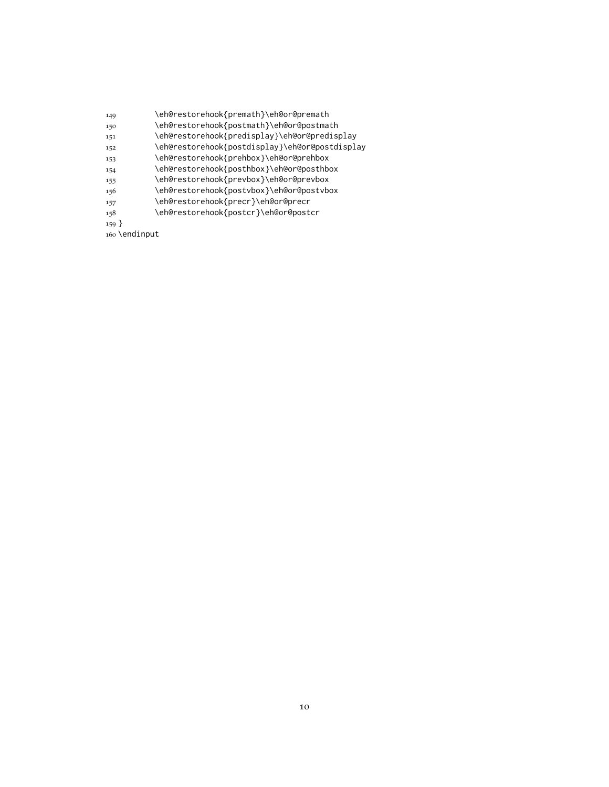| 149               | \eh@restorehook{premath}\eh@or@premath         |
|-------------------|------------------------------------------------|
| 150               | \eh@restorehook{postmath}\eh@or@postmath       |
| 151               | \eh@restorehook{predisplay}\eh@or@predisplay   |
| 152               | \eh@restorehook{postdisplay}\eh@or@postdisplay |
| 153               | \eh@restorehook{prehbox}\eh@or@prehbox         |
| 154               | \eh@restorehook{posthbox}\eh@or@posthbox       |
| 155               | \eh@restorehook{prevbox}\eh@or@prevbox         |
| 156               | \eh@restorehook{postvbox}\eh@or@postvbox       |
| 157               | \eh@restorehook{precr}\eh@or@precr             |
| 158               | \eh@restorehook{postcr}\eh@or@postcr           |
| $159$ }           |                                                |
| $\sim$ \ andinnut |                                                |

\endinput